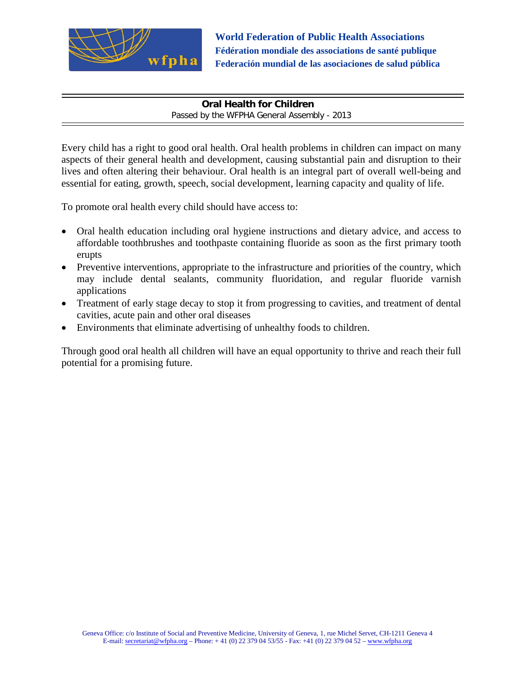

**World Federation of Public Health Associations Fédération mondiale des associations de santé publique Federación mundial de las asociaciones de salud pública**

**Oral Health for Children** Passed by the WFPHA General Assembly - 2013

Every child has a right to good oral health. Oral health problems in children can impact on many aspects of their general health and development, causing substantial pain and disruption to their lives and often altering their behaviour. Oral health is an integral part of overall well-being and essential for eating, growth, speech, social development, learning capacity and quality of life.

To promote oral health every child should have access to:

- Oral health education including oral hygiene instructions and dietary advice, and access to affordable toothbrushes and toothpaste containing fluoride as soon as the first primary tooth erupts
- Preventive interventions, appropriate to the infrastructure and priorities of the country, which may include dental sealants, community fluoridation, and regular fluoride varnish applications
- Treatment of early stage decay to stop it from progressing to cavities, and treatment of dental cavities, acute pain and other oral diseases
- Environments that eliminate advertising of unhealthy foods to children.

Through good oral health all children will have an equal opportunity to thrive and reach their full potential for a promising future.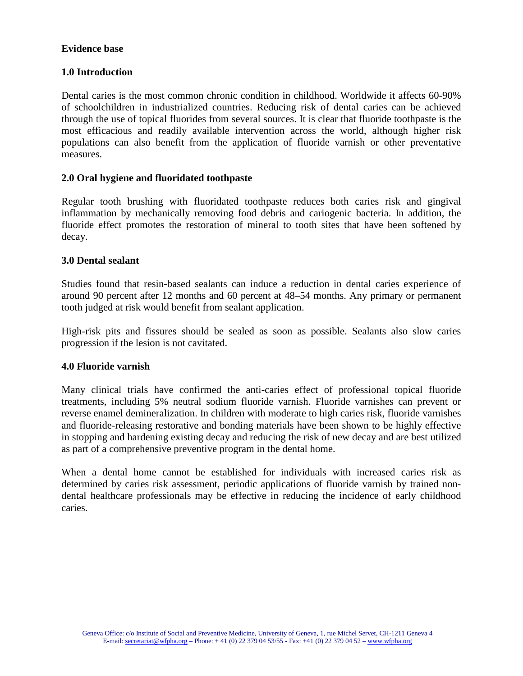#### **Evidence base**

# **1.0 Introduction**

Dental caries is the most common chronic condition in childhood. Worldwide it affects 60-90% of schoolchildren in industrialized countries. Reducing risk of dental caries can be achieved through the use of topical fluorides from several sources. It is clear that fluoride toothpaste is the most efficacious and readily available intervention across the world, although higher risk populations can also benefit from the application of fluoride varnish or other preventative measures.

# **2.0 Oral hygiene and fluoridated toothpaste**

Regular tooth brushing with fluoridated toothpaste reduces both caries risk and gingival inflammation by mechanically removing food debris and cariogenic bacteria. In addition, the fluoride effect promotes the restoration of mineral to tooth sites that have been softened by decay.

# **3.0 Dental sealant**

Studies found that resin-based sealants can induce a reduction in dental caries experience of around 90 percent after 12 months and 60 percent at 48–54 months. Any primary or permanent tooth judged at risk would benefit from sealant application.

High-risk pits and fissures should be sealed as soon as possible. Sealants also slow caries progression if the lesion is not cavitated.

#### **4.0 Fluoride varnish**

Many clinical trials have confirmed the anti-caries effect of professional topical fluoride treatments, including 5% neutral sodium fluoride varnish. Fluoride varnishes can prevent or reverse enamel demineralization. In children with moderate to high caries risk, fluoride varnishes and fluoride-releasing restorative and bonding materials have been shown to be highly effective in stopping and hardening existing decay and reducing the risk of new decay and are best utilized as part of a comprehensive preventive program in the dental home.

When a dental home cannot be established for individuals with increased caries risk as determined by caries risk assessment, periodic applications of fluoride varnish by trained nondental healthcare professionals may be effective in reducing the incidence of early childhood caries.